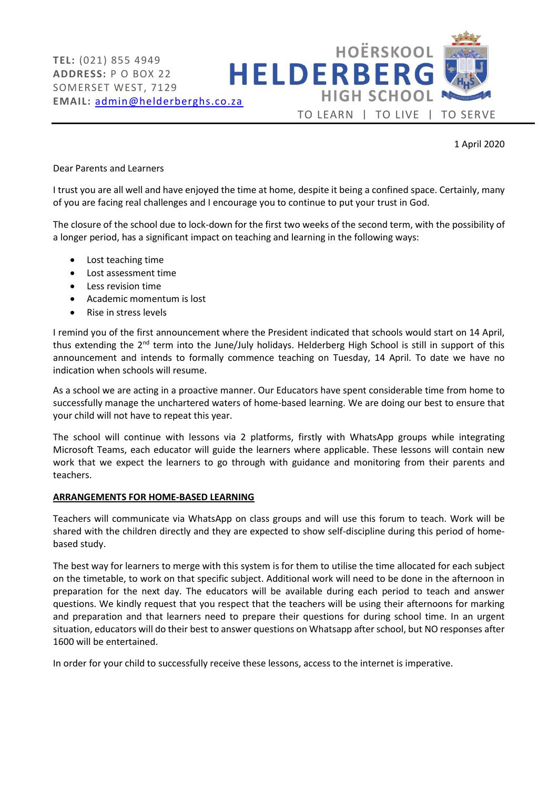

1 April 2020

Dear Parents and Learners

I trust you are all well and have enjoyed the time at home, despite it being a confined space. Certainly, many of you are facing real challenges and I encourage you to continue to put your trust in God.

The closure of the school due to lock-down for the first two weeks of the second term, with the possibility of a longer period, has a significant impact on teaching and learning in the following ways:

- Lost teaching time
- Lost assessment time
- Less revision time
- Academic momentum is lost
- Rise in stress levels

I remind you of the first announcement where the President indicated that schools would start on 14 April, thus extending the 2<sup>nd</sup> term into the June/July holidays. Helderberg High School is still in support of this announcement and intends to formally commence teaching on Tuesday, 14 April. To date we have no indication when schools will resume.

As a school we are acting in a proactive manner. Our Educators have spent considerable time from home to successfully manage the unchartered waters of home-based learning. We are doing our best to ensure that your child will not have to repeat this year.

The school will continue with lessons via 2 platforms, firstly with WhatsApp groups while integrating Microsoft Teams, each educator will guide the learners where applicable. These lessons will contain new work that we expect the learners to go through with guidance and monitoring from their parents and teachers.

## **ARRANGEMENTS FOR HOME-BASED LEARNING**

Teachers will communicate via WhatsApp on class groups and will use this forum to teach. Work will be shared with the children directly and they are expected to show self-discipline during this period of homebased study.

The best way for learners to merge with this system is for them to utilise the time allocated for each subject on the timetable, to work on that specific subject. Additional work will need to be done in the afternoon in preparation for the next day. The educators will be available during each period to teach and answer questions. We kindly request that you respect that the teachers will be using their afternoons for marking and preparation and that learners need to prepare their questions for during school time. In an urgent situation, educators will do their best to answer questions on Whatsapp after school, but NO responses after 1600 will be entertained.

In order for your child to successfully receive these lessons, access to the internet is imperative.